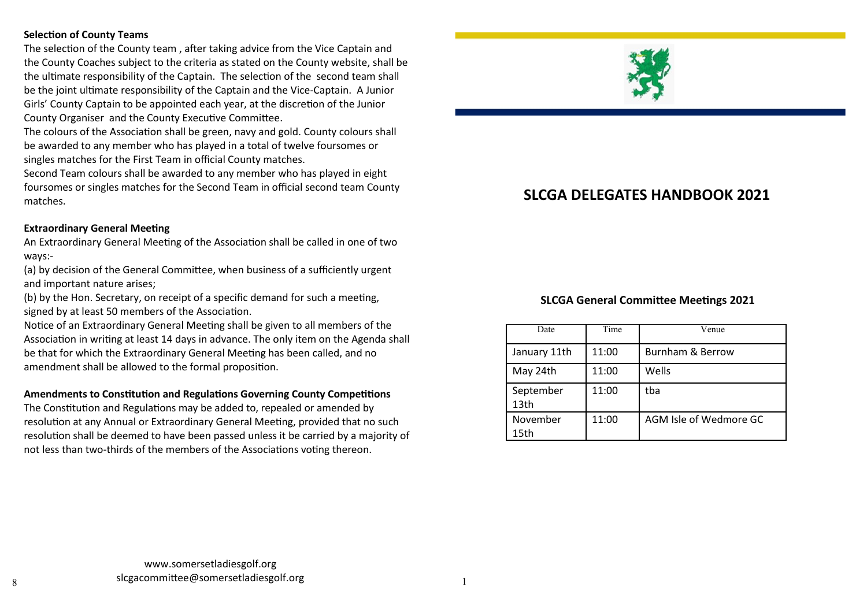## **Selection of County Teams**

The selection of the County team , after taking advice from the Vice Captain and the County Coaches subject to the criteria as stated on the County website, shall be the ultimate responsibility of the Captain. The selection of the second team shall be the joint ultimate responsibility of the Captain and the Vice-Captain. A Junior Girls' County Captain to be appointed each year, at the discretion of the Junior County Organiser and the County Executive Committee.

The colours of the Association shall be green, navy and gold. County colours shall be awarded to any member who has played in a total of twelve foursomes or singles matches for the First Team in official County matches.

Second Team colours shall be awarded to any member who has played in eight foursomes or singles matches for the Second Team in official second team County matches.

# **Extraordinary General Meeting**

An Extraordinary General Meeting of the Association shall be called in one of two ways:-

(a) by decision of the General Committee, when business of a sufficiently urgent and important nature arises;

(b) by the Hon. Secretary, on receipt of a specific demand for such a meeting, signed by at least 50 members of the Association.

Notice of an Extraordinary General Meeting shall be given to all members of the Association in writing at least 14 days in advance. The only item on the Agenda shall be that for which the Extraordinary General Meeting has been called, and no amendment shall be allowed to the formal proposition.

## **Amendments to Constitution and Regulations Governing County Competitions**

The Constitution and Regulations may be added to, repealed or amended by resolution at any Annual or Extraordinary General Meeting, provided that no such resolution shall be deemed to have been passed unless it be carried by a majority of not less than two-thirds of the members of the Associations voting thereon.



# **SLCGA DELEGATES HANDBOOK 2021**

## **SLCGA General Committee Meetings 2021**

| Date              | Time  | Venue                       |
|-------------------|-------|-----------------------------|
| January 11th      | 11:00 | <b>Burnham &amp; Berrow</b> |
| May 24th          | 11:00 | Wells                       |
| September<br>13th | 11:00 | tba                         |
| November<br>15th  | 11:00 | AGM Isle of Wedmore GC      |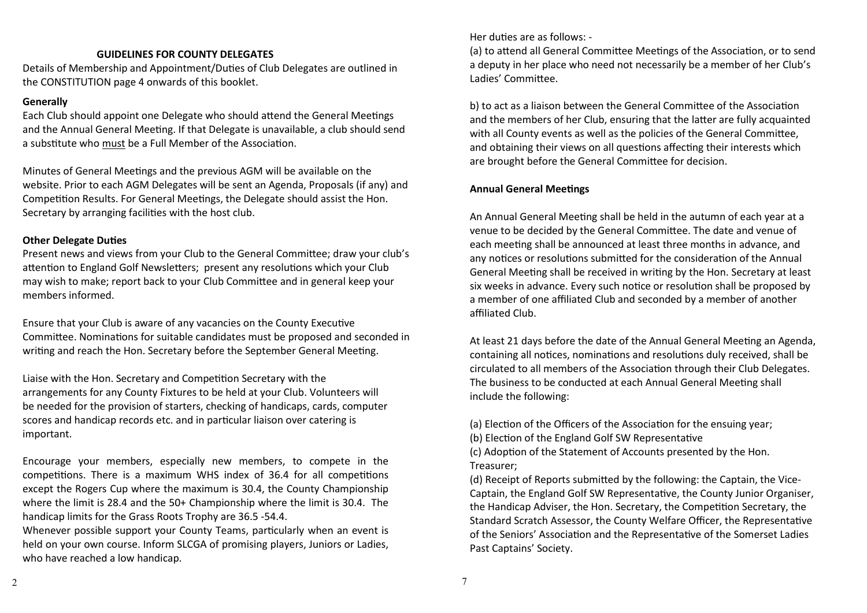## **GUIDELINES FOR COUNTY DELEGATES**

Details of Membership and Appointment/Duties of Club Delegates are outlined in the CONSTITUTION page 4 onwards of this booklet.

## **Generally**

Each Club should appoint one Delegate who should attend the General Meetings and the Annual General Meeting. If that Delegate is unavailable, a club should send a substitute who must be a Full Member of the Association.

Minutes of General Meetings and the previous AGM will be available on the website. Prior to each AGM Delegates will be sent an Agenda, Proposals (if any) and Competition Results. For General Meetings, the Delegate should assist the Hon. Secretary by arranging facilities with the host club.

# **Other Delegate Duties**

Present news and views from your Club to the General Committee; draw your club's attention to England Golf Newsletters; present any resolutions which your Club may wish to make; report back to your Club Committee and in general keep your members informed.

Ensure that your Club is aware of any vacancies on the County Executive Committee. Nominations for suitable candidates must be proposed and seconded in writing and reach the Hon. Secretary before the September General Meeting.

Liaise with the Hon. Secretary and Competition Secretary with the arrangements for any County Fixtures to be held at your Club. Volunteers will be needed for the provision of starters, checking of handicaps, cards, computer scores and handicap records etc. and in particular liaison over catering is important.

Encourage your members, especially new members, to compete in the competitions. There is a maximum WHS index of 36.4 for all competitions except the Rogers Cup where the maximum is 30.4, the County Championship where the limit is 28.4 and the 50+ Championship where the limit is 30.4. The handicap limits for the Grass Roots Trophy are 36.5 -54.4.

Whenever possible support your County Teams, particularly when an event is held on your own course. Inform SLCGA of promising players, Juniors or Ladies, who have reached a low handicap.

## Her duties are as follows: -

(a) to attend all General Committee Meetings of the Association, or to send a deputy in her place who need not necessarily be a member of her Club's Ladies' Committee.

b) to act as a liaison between the General Committee of the Association and the members of her Club, ensuring that the latter are fully acquainted with all County events as well as the policies of the General Committee, and obtaining their views on all questions affecting their interests which are brought before the General Committee for decision.

## **Annual General Meetings**

An Annual General Meeting shall be held in the autumn of each year at a venue to be decided by the General Committee. The date and venue of each meeting shall be announced at least three months in advance, and any notices or resolutions submitted for the consideration of the Annual General Meeting shall be received in writing by the Hon. Secretary at least six weeks in advance. Every such notice or resolution shall be proposed by a member of one affiliated Club and seconded by a member of another affiliated Club.

At least 21 days before the date of the Annual General Meeting an Agenda, containing all notices, nominations and resolutions duly received, shall be circulated to all members of the Association through their Club Delegates. The business to be conducted at each Annual General Meeting shall include the following:

(a) Election of the Officers of the Association for the ensuing year;

(b) Election of the England Golf SW Representative

(c) Adoption of the Statement of Accounts presented by the Hon. Treasurer;

(d) Receipt of Reports submitted by the following: the Captain, the Vice-Captain, the England Golf SW Representative, the County Junior Organiser, the Handicap Adviser, the Hon. Secretary, the Competition Secretary, the Standard Scratch Assessor, the County Welfare Officer, the Representative of the Seniors' Association and the Representative of the Somerset Ladies Past Captains' Society.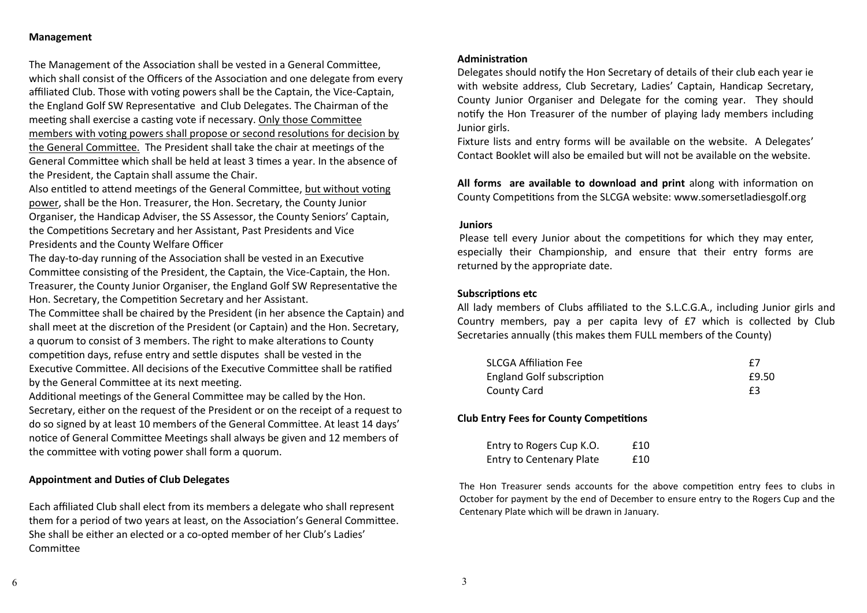## **Management**

The Management of the Association shall be vested in a General Committee, which shall consist of the Officers of the Association and one delegate from every affiliated Club. Those with voting powers shall be the Captain, the Vice-Captain, the England Golf SW Representative and Club Delegates. The Chairman of the meeting shall exercise a casting vote if necessary. Only those Committee members with voting powers shall propose or second resolutions for decision by the General Committee. The President shall take the chair at meetings of the General Committee which shall be held at least 3 times a year. In the absence of the President, the Captain shall assume the Chair.

Also entitled to attend meetings of the General Committee, but without voting power, shall be the Hon. Treasurer, the Hon. Secretary, the County Junior Organiser, the Handicap Adviser, the SS Assessor, the County Seniors' Captain, the Competitions Secretary and her Assistant, Past Presidents and Vice Presidents and the County Welfare Officer

The day-to-day running of the Association shall be vested in an Executive Committee consisting of the President, the Captain, the Vice-Captain, the Hon. Treasurer, the County Junior Organiser, the England Golf SW Representative the Hon. Secretary, the Competition Secretary and her Assistant.

The Committee shall be chaired by the President (in her absence the Captain) and shall meet at the discretion of the President (or Captain) and the Hon. Secretary, a quorum to consist of 3 members. The right to make alterations to County competition days, refuse entry and settle disputes shall be vested in the Executive Committee. All decisions of the Executive Committee shall be ratified by the General Committee at its next meeting.

Additional meetings of the General Committee may be called by the Hon. Secretary, either on the request of the President or on the receipt of a request to do so signed by at least 10 members of the General Committee. At least 14 days' notice of General Committee Meetings shall always be given and 12 members of the committee with voting power shall form a quorum.

#### **Appointment and Duties of Club Delegates**

Each affiliated Club shall elect from its members a delegate who shall represent them for a period of two years at least, on the Association's General Committee. She shall be either an elected or a co-opted member of her Club's Ladies' Committee

#### **Administration**

Delegates should notify the Hon Secretary of details of their club each year ie with website address, Club Secretary, Ladies' Captain, Handicap Secretary, County Junior Organiser and Delegate for the coming year. They should notify the Hon Treasurer of the number of playing lady members including Junior girls.

Fixture lists and entry forms will be available on the website. A Delegates' Contact Booklet will also be emailed but will not be available on the website.

**All forms are available to download and print** along with information on County Competitions from the SLCGA website: www.somersetladiesgolf.org

#### **Juniors**

Please tell every Junior about the competitions for which they may enter, especially their Championship, and ensure that their entry forms are returned by the appropriate date.

#### **Subscriptions etc**

All lady members of Clubs affiliated to the S.L.C.G.A., including Junior girls and Country members, pay a per capita levy of £7 which is collected by Club Secretaries annually (this makes them FULL members of the County)

| <b>SLCGA Affiliation Fee</b>     | £7    |
|----------------------------------|-------|
| <b>England Golf subscription</b> | £9.50 |
| County Card                      | £3    |

#### **Club Entry Fees for County Competitions**

| Entry to Rogers Cup K.O.        | £10 |
|---------------------------------|-----|
| <b>Entry to Centenary Plate</b> | £10 |

The Hon Treasurer sends accounts for the above competition entry fees to clubs in October for payment by the end of December to ensure entry to the Rogers Cup and the Centenary Plate which will be drawn in January.